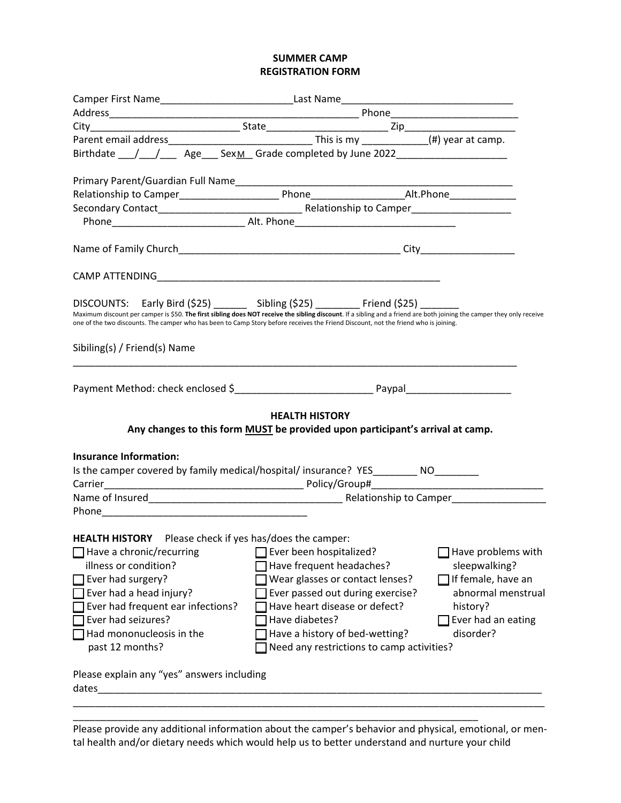## **SUMMER CAMP REGISTRATION FORM**

| Birthdate ___/___/_____Age____SexM_Grade completed by June 2022_________________                                                                                                                                          |  |                                                                                                        |                                                                                                                                                                       |
|---------------------------------------------------------------------------------------------------------------------------------------------------------------------------------------------------------------------------|--|--------------------------------------------------------------------------------------------------------|-----------------------------------------------------------------------------------------------------------------------------------------------------------------------|
|                                                                                                                                                                                                                           |  |                                                                                                        |                                                                                                                                                                       |
|                                                                                                                                                                                                                           |  |                                                                                                        |                                                                                                                                                                       |
|                                                                                                                                                                                                                           |  |                                                                                                        |                                                                                                                                                                       |
|                                                                                                                                                                                                                           |  |                                                                                                        |                                                                                                                                                                       |
|                                                                                                                                                                                                                           |  |                                                                                                        |                                                                                                                                                                       |
|                                                                                                                                                                                                                           |  |                                                                                                        |                                                                                                                                                                       |
| DISCOUNTS: Early Bird (\$25) _______ Sibling (\$25) ________ Friend (\$25) _______<br>one of the two discounts. The camper who has been to Camp Story before receives the Friend Discount, not the friend who is joining. |  |                                                                                                        | Maximum discount per camper is \$50. The first sibling does NOT receive the sibling discount. If a sibling and a friend are both joining the camper they only receive |
| Sibiling(s) / Friend(s) Name                                                                                                                                                                                              |  |                                                                                                        |                                                                                                                                                                       |
|                                                                                                                                                                                                                           |  |                                                                                                        |                                                                                                                                                                       |
|                                                                                                                                                                                                                           |  | <b>HEALTH HISTORY</b><br>Any changes to this form MUST be provided upon participant's arrival at camp. |                                                                                                                                                                       |
| <b>Insurance Information:</b>                                                                                                                                                                                             |  |                                                                                                        |                                                                                                                                                                       |
| Is the camper covered by family medical/hospital/ insurance? YES_________ NO_________                                                                                                                                     |  |                                                                                                        |                                                                                                                                                                       |
|                                                                                                                                                                                                                           |  |                                                                                                        |                                                                                                                                                                       |
|                                                                                                                                                                                                                           |  |                                                                                                        |                                                                                                                                                                       |
|                                                                                                                                                                                                                           |  |                                                                                                        |                                                                                                                                                                       |
| <b>HEALTH HISTORY</b> Please check if yes has/does the camper:                                                                                                                                                            |  |                                                                                                        |                                                                                                                                                                       |
| Have a chronic/recurring                                                                                                                                                                                                  |  | Ever been hospitalized?                                                                                | Have problems with                                                                                                                                                    |
| illness or condition?                                                                                                                                                                                                     |  | Have frequent headaches?                                                                               | sleepwalking?                                                                                                                                                         |
| Ever had surgery?                                                                                                                                                                                                         |  | Wear glasses or contact lenses?                                                                        | If female, have an                                                                                                                                                    |
| Ever had a head injury?                                                                                                                                                                                                   |  | Ever passed out during exercise?                                                                       | abnormal menstrual                                                                                                                                                    |
| Ever had frequent ear infections?                                                                                                                                                                                         |  | Have heart disease or defect?                                                                          | history?                                                                                                                                                              |
| Ever had seizures?                                                                                                                                                                                                        |  | Have diabetes?                                                                                         | Ever had an eating                                                                                                                                                    |
| Had mononucleosis in the                                                                                                                                                                                                  |  | Have a history of bed-wetting?                                                                         | disorder?                                                                                                                                                             |
| past 12 months?                                                                                                                                                                                                           |  | Need any restrictions to camp activities?                                                              |                                                                                                                                                                       |
| Please explain any "yes" answers including<br>dates                                                                                                                                                                       |  |                                                                                                        |                                                                                                                                                                       |
|                                                                                                                                                                                                                           |  |                                                                                                        |                                                                                                                                                                       |

Please provide any additional information about the camper's behavior and physical, emotional, or mental health and/or dietary needs which would help us to better understand and nurture your child

\_\_\_\_\_\_\_\_\_\_\_\_\_\_\_\_\_\_\_\_\_\_\_\_\_\_\_\_\_\_\_\_\_\_\_\_\_\_\_\_\_\_\_\_\_\_\_\_\_\_\_\_\_\_\_\_\_\_\_\_\_\_\_\_\_\_\_\_\_\_\_\_\_